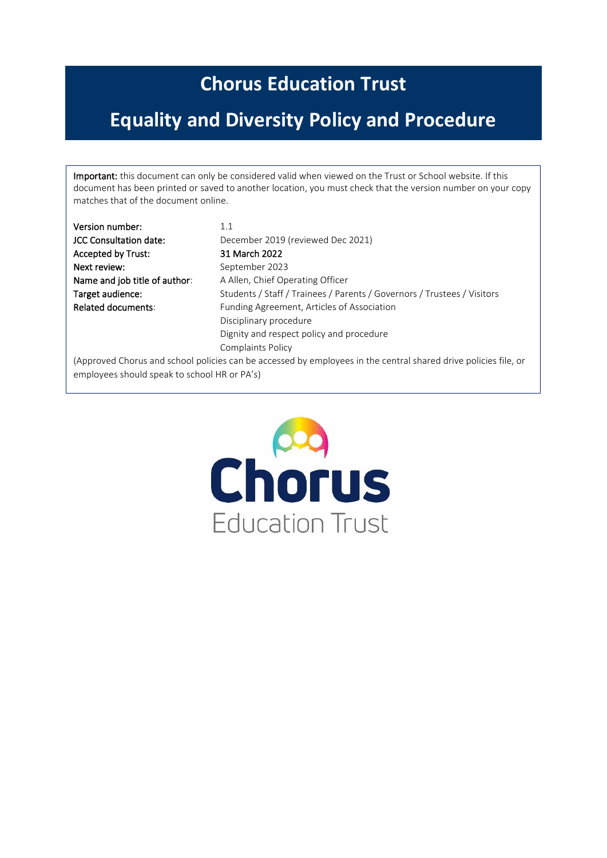# **Chorus Education Trust**

# **Equality and Diversity Policy and Procedure**

Important: this document can only be considered valid when viewed on the Trust or School website. If this document has been printed or saved to another location, you must check that the version number on your copy matches that of the document online.

| Version number:                                                                                                 | 1.1                                                                     |  |
|-----------------------------------------------------------------------------------------------------------------|-------------------------------------------------------------------------|--|
| <b>JCC Consultation date:</b>                                                                                   | December 2019 (reviewed Dec 2021)                                       |  |
| <b>Accepted by Trust:</b>                                                                                       | 31 March 2022                                                           |  |
| Next review:                                                                                                    | September 2023                                                          |  |
| Name and job title of author:                                                                                   | A Allen, Chief Operating Officer                                        |  |
| Target audience:                                                                                                | Students / Staff / Trainees / Parents / Governors / Trustees / Visitors |  |
| <b>Related documents:</b>                                                                                       | Funding Agreement, Articles of Association                              |  |
|                                                                                                                 | Disciplinary procedure                                                  |  |
|                                                                                                                 | Dignity and respect policy and procedure                                |  |
|                                                                                                                 | <b>Complaints Policy</b>                                                |  |
| (Approved Chorus and school policies can be accessed by employees in the central shared drive policies file, or |                                                                         |  |
| employees should speak to school HR or PA's)                                                                    |                                                                         |  |

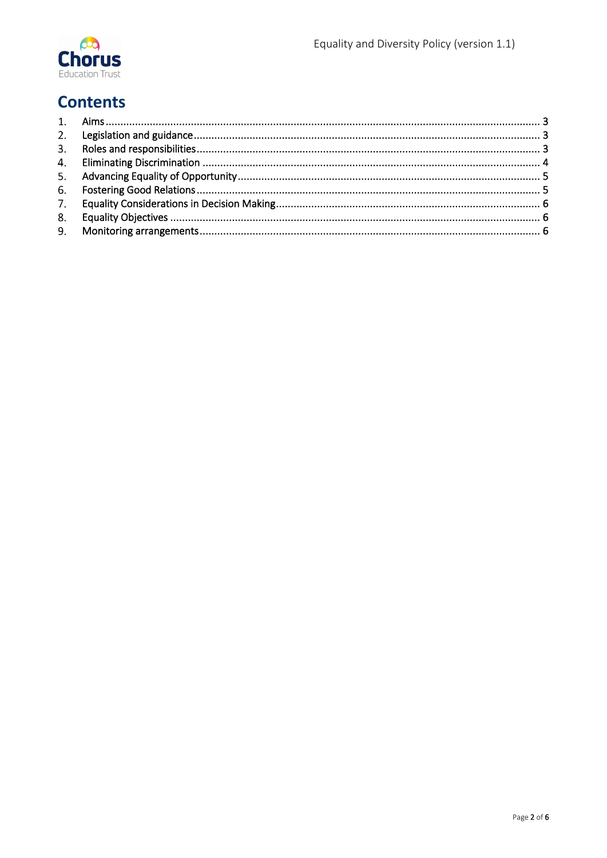

### **Contents**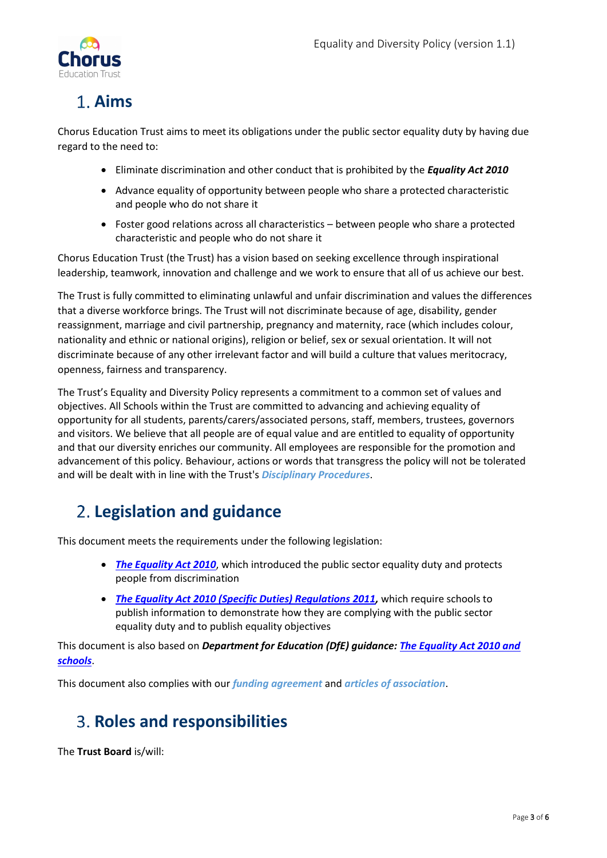

# <span id="page-2-0"></span>**Aims**

Chorus Education Trust aims to meet its obligations under the public sector equality duty by having due regard to the need to:

- Eliminate discrimination and other conduct that is prohibited by the *Equality Act 2010*
- Advance equality of opportunity between people who share a protected characteristic and people who do not share it
- Foster good relations across all characteristics between people who share a protected characteristic and people who do not share it

Chorus Education Trust (the Trust) has a vision based on seeking excellence through inspirational leadership, teamwork, innovation and challenge and we work to ensure that all of us achieve our best.

The Trust is fully committed to eliminating unlawful and unfair discrimination and values the differences that a diverse workforce brings. The Trust will not discriminate because of age, disability, gender reassignment, marriage and civil partnership, pregnancy and maternity, race (which includes colour, nationality and ethnic or national origins), religion or belief, sex or sexual orientation. It will not discriminate because of any other irrelevant factor and will build a culture that values meritocracy, openness, fairness and transparency.

The Trust's Equality and Diversity Policy represents a commitment to a common set of values and objectives. All Schools within the Trust are committed to advancing and achieving equality of opportunity for all students, parents/carers/associated persons, staff, members, trustees, governors and visitors. We believe that all people are of equal value and are entitled to equality of opportunity and that our diversity enriches our community. All employees are responsible for the promotion and advancement of this policy. Behaviour, actions or words that transgress the policy will not be tolerated and will be dealt with in line with the Trust's *Disciplinary Procedures*.

# <span id="page-2-1"></span>**Legislation and guidance**

This document meets the requirements under the following legislation:

- *[The Equality Act 2010](http://www.legislation.gov.uk/ukpga/2010/15/contents)*, which introduced the public sector equality duty and protects people from discrimination
- *[The Equality Act 2010 \(Specific Duties\) Regulations 2011,](http://www.legislation.gov.uk/uksi/2011/2260/contents/made)* which require schools to publish information to demonstrate how they are complying with the public sector equality duty and to publish equality objectives

This document is also based on *Department for Education (DfE) guidance: [The Equality Act 2010 and](https://www.gov.uk/government/publications/equality-act-2010-advice-for-schools)  [schools](https://www.gov.uk/government/publications/equality-act-2010-advice-for-schools)*.

<span id="page-2-2"></span>This document also complies with our *funding agreement* and *articles of association*.

### **Roles and responsibilities**

The **Trust Board** is/will: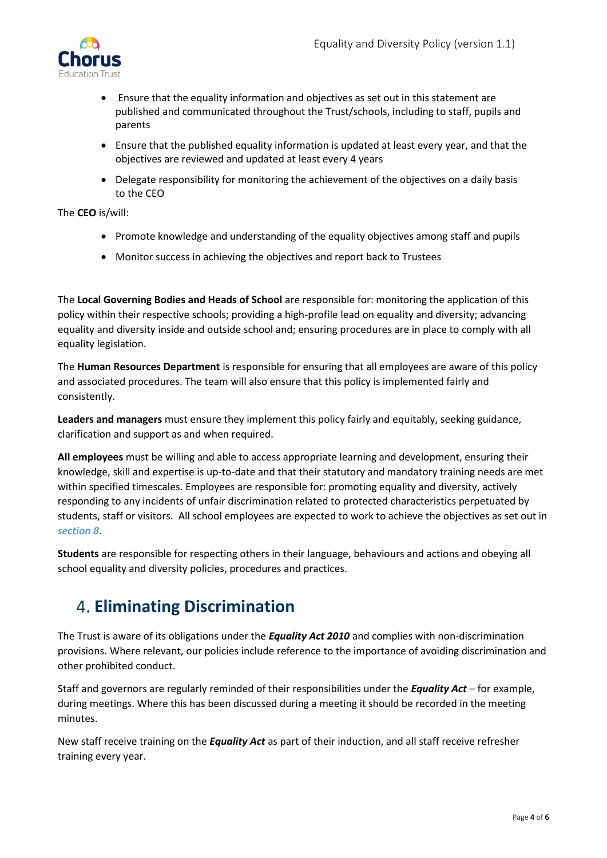

- Ensure that the equality information and objectives as set out in this statement are published and communicated throughout the Trust/schools, including to staff, pupils and parents
- Ensure that the published equality information is updated at least every year, and that the objectives are reviewed and updated at least every 4 years
- Delegate responsibility for monitoring the achievement of the objectives on a daily basis to the CEO

The **CEO** is/will:

- Promote knowledge and understanding of the equality objectives among staff and pupils
- Monitor success in achieving the objectives and report back to Trustees

The **Local Governing Bodies and Heads of School** are responsible for: monitoring the application of this policy within their respective schools; providing a high-profile lead on equality and diversity; advancing equality and diversity inside and outside school and; ensuring procedures are in place to comply with all equality legislation.

The **Human Resources Department** is responsible for ensuring that all employees are aware of this policy and associated procedures. The team will also ensure that this policy is implemented fairly and consistently.

**Leaders and managers** must ensure they implement this policy fairly and equitably, seeking guidance, clarification and support as and when required.

**All employees** must be willing and able to access appropriate learning and development, ensuring their knowledge, skill and expertise is up-to-date and that their statutory and mandatory training needs are met within specified timescales. Employees are responsible for: promoting equality and diversity, actively responding to any incidents of unfair discrimination related to protected characteristics perpetuated by students, staff or visitors. All school employees are expected to work to achieve the objectives as set out in *section 8*.

**Students** are responsible for respecting others in their language, behaviours and actions and obeying all school equality and diversity policies, procedures and practices.

### <span id="page-3-0"></span>**Eliminating Discrimination**

The Trust is aware of its obligations under the *Equality Act 2010* and complies with non-discrimination provisions. Where relevant, our policies include reference to the importance of avoiding discrimination and other prohibited conduct.

Staff and governors are regularly reminded of their responsibilities under the *Equality Act* – for example, during meetings. Where this has been discussed during a meeting it should be recorded in the meeting minutes.

New staff receive training on the *Equality Act* as part of their induction, and all staff receive refresher training every year.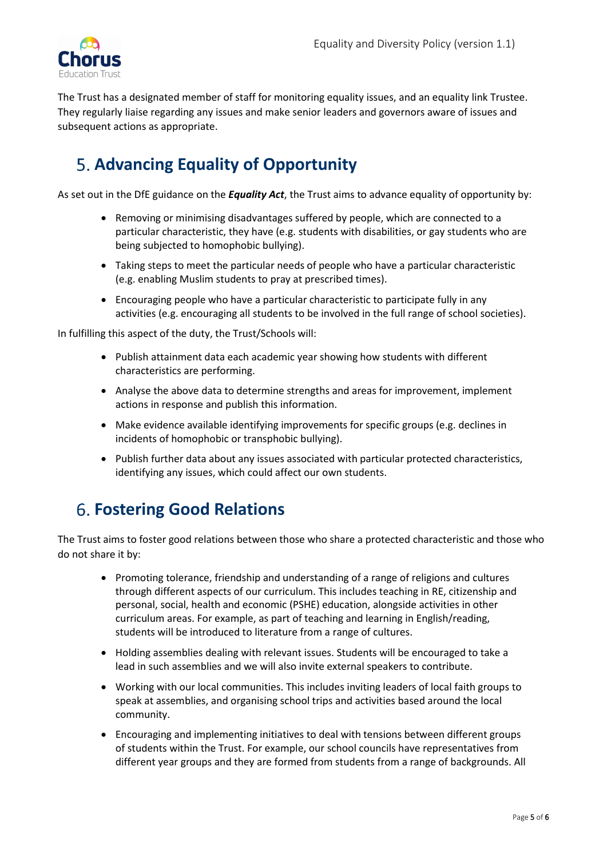

The Trust has a designated member of staff for monitoring equality issues, and an equality link Trustee. They regularly liaise regarding any issues and make senior leaders and governors aware of issues and subsequent actions as appropriate.

# <span id="page-4-0"></span>**Advancing Equality of Opportunity**

As set out in the DfE guidance on the *Equality Act*, the Trust aims to advance equality of opportunity by:

- Removing or minimising disadvantages suffered by people, which are connected to a particular characteristic, they have (e.g. students with disabilities, or gay students who are being subjected to homophobic bullying).
- Taking steps to meet the particular needs of people who have a particular characteristic (e.g. enabling Muslim students to pray at prescribed times).
- Encouraging people who have a particular characteristic to participate fully in any activities (e.g. encouraging all students to be involved in the full range of school societies).

In fulfilling this aspect of the duty, the Trust/Schools will:

- Publish attainment data each academic year showing how students with different characteristics are performing.
- Analyse the above data to determine strengths and areas for improvement, implement actions in response and publish this information.
- Make evidence available identifying improvements for specific groups (e.g. declines in incidents of homophobic or transphobic bullying).
- Publish further data about any issues associated with particular protected characteristics, identifying any issues, which could affect our own students.

### <span id="page-4-1"></span>**Fostering Good Relations**

The Trust aims to foster good relations between those who share a protected characteristic and those who do not share it by:

- Promoting tolerance, friendship and understanding of a range of religions and cultures through different aspects of our curriculum. This includes teaching in RE, citizenship and personal, social, health and economic (PSHE) education, alongside activities in other curriculum areas. For example, as part of teaching and learning in English/reading, students will be introduced to literature from a range of cultures.
- Holding assemblies dealing with relevant issues. Students will be encouraged to take a lead in such assemblies and we will also invite external speakers to contribute.
- Working with our local communities. This includes inviting leaders of local faith groups to speak at assemblies, and organising school trips and activities based around the local community.
- Encouraging and implementing initiatives to deal with tensions between different groups of students within the Trust. For example, our school councils have representatives from different year groups and they are formed from students from a range of backgrounds. All